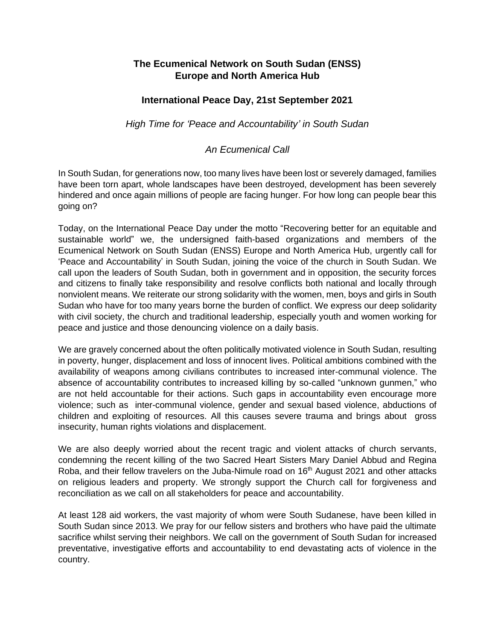## **The Ecumenical Network on South Sudan (ENSS) Europe and North America Hub**

## **International Peace Day, 21st September 2021**

*High Time for 'Peace and Accountability' in South Sudan* 

## *An Ecumenical Call*

In South Sudan, for generations now, too many lives have been lost or severely damaged, families have been torn apart, whole landscapes have been destroyed, development has been severely hindered and once again millions of people are facing hunger. For how long can people bear this going on?

Today, on the International Peace Day under the motto "Recovering better for an equitable and sustainable world" we, the undersigned faith-based organizations and members of the Ecumenical Network on South Sudan (ENSS) Europe and North America Hub, urgently call for 'Peace and Accountability' in South Sudan, joining the voice of the church in South Sudan. We call upon the leaders of South Sudan, both in government and in opposition, the security forces and citizens to finally take responsibility and resolve conflicts both national and locally through nonviolent means. We reiterate our strong solidarity with the women, men, boys and girls in South Sudan who have for too many years borne the burden of conflict. We express our deep solidarity with civil society, the church and traditional leadership, especially youth and women working for peace and justice and those denouncing violence on a daily basis.

We are gravely concerned about the often politically motivated violence in South Sudan, resulting in poverty, hunger, displacement and loss of innocent lives. Political ambitions combined with the availability of weapons among civilians contributes to increased inter-communal violence. The absence of accountability contributes to increased killing by so-called "unknown gunmen," who are not held accountable for their actions. Such gaps in accountability even encourage more violence; such as inter-communal violence, gender and sexual based violence, abductions of children and exploiting of resources. All this causes severe trauma and brings about gross insecurity, human rights violations and displacement.

We are also deeply worried about the recent tragic and violent attacks of church servants, condemning the recent killing of the two Sacred Heart Sisters Mary Daniel Abbud and Regina Roba, and their fellow travelers on the Juba-Nimule road on 16<sup>th</sup> August 2021 and other attacks on religious leaders and property. We strongly support the Church call for forgiveness and reconciliation as we call on all stakeholders for peace and accountability.

At least 128 aid workers, the vast majority of whom were South Sudanese, have been killed in South Sudan since 2013. We pray for our fellow sisters and brothers who have paid the ultimate sacrifice whilst serving their neighbors. We call on the government of South Sudan for increased preventative, investigative efforts and accountability to end devastating acts of violence in the country.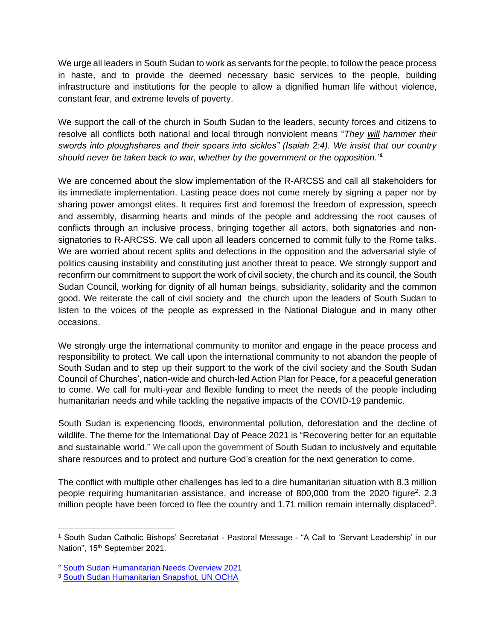We urge all leaders in South Sudan to work as servants for the people, to follow the peace process in haste, and to provide the deemed necessary basic services to the people, building infrastructure and institutions for the people to allow a dignified human life without violence, constant fear, and extreme levels of poverty.

We support the call of the church in South Sudan to the leaders, security forces and citizens to resolve all conflicts both national and local through nonviolent means "*They [will](https://www.catholic.org/encyclopedia/view.php?id=12332) hammer their swords into ploughshares and their spears into sickles" (Isaiah 2:4). We insist that our country should never be taken back to war, whether by the government or the opposition." 1*

We are concerned about the slow implementation of the R-ARCSS and call all stakeholders for its immediate implementation. Lasting peace does not come merely by signing a paper nor by sharing power amongst elites. It requires first and foremost the freedom of expression, speech and assembly, disarming hearts and minds of the people and addressing the root causes of conflicts through an inclusive process, bringing together all actors, both signatories and nonsignatories to R-ARCSS. We call upon all leaders concerned to commit fully to the Rome talks. We are worried about recent splits and defections in the opposition and the adversarial style of politics causing instability and constituting just another threat to peace. We strongly support and reconfirm our commitment to support the work of civil society, the church and its council, the South Sudan Council, working for dignity of all human beings, subsidiarity, solidarity and the common good. We reiterate the call of civil society and the church upon the leaders of South Sudan to listen to the voices of the people as expressed in the National Dialogue and in many other occasions.

We strongly urge the international community to monitor and engage in the peace process and responsibility to protect. We call upon the international community to not abandon the people of South Sudan and to step up their support to the work of the civil society and the South Sudan Council of Churches', nation-wide and church-led Action Plan for Peace, for a peaceful generation to come. We call for multi-year and flexible funding to meet the needs of the people including humanitarian needs and while tackling the negative impacts of the COVID-19 pandemic.

South Sudan is experiencing floods, environmental pollution, deforestation and the decline of wildlife. The theme for the International Day of Peace 2021 is "Recovering better for an equitable and sustainable world." We call upon the government of South Sudan to inclusively and equitable share resources and to protect and nurture God's creation for the next generation to come.

The conflict with multiple other challenges has led to a dire humanitarian situation with 8.3 million people requiring humanitarian assistance, and increase of 800,000 from the 2020 figure<sup>2</sup>. 2.3 million people have been forced to flee the country and 1.71 million remain internally displaced<sup>3</sup>.

<sup>1</sup> South Sudan Catholic Bishops' Secretariat - Pastoral Message - "A Call to 'Servant Leadership' in our Nation", 15<sup>th</sup> September 2021.

<sup>2</sup> [South Sudan Humanitarian Needs Overview 2021](https://reliefweb.int/sites/reliefweb.int/files/resources/south_sudan_2021_humanitarian_needs_overview.pdf)

<sup>&</sup>lt;sup>3</sup> [South Sudan Humanitarian Snapshot, UN OCHA](https://reliefweb.int/sites/reliefweb.int/files/resources/south_sudan_humanitarian_snapshot_august.pdf)